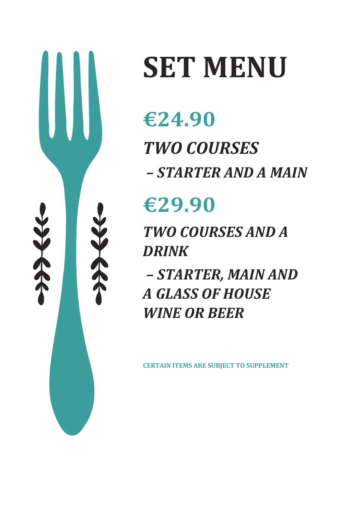

# **SET MENU**

# **€24.90** *TWO COURSES – STARTER AND A MAIN*

# **€29.90**

*TWO COURSES AND A DRINK*

*– STARTER, MAIN AND A GLASS OF HOUSE WINE OR BEER*

**CERTAIN ITEMS ARE SUBJECT TO SUPPLEMENT**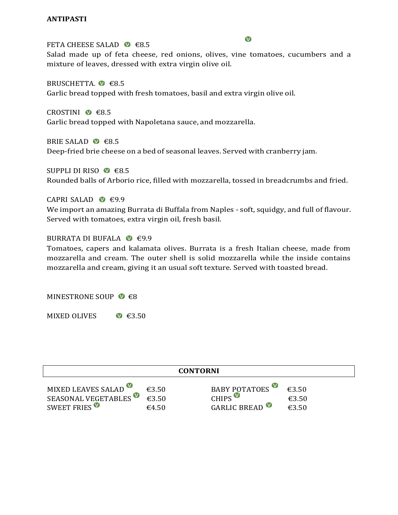# **ANTIPASTI**

# FETA CHEESE SALAD  $\bullet$  €8.5

Salad made up of feta cheese, red onions, olives, vine tomatoes, cucumbers and a mixture of leaves, dressed with extra virgin olive oil.

BRUSCHETTA.  $\bullet$   $\in$ 8.5 Garlic bread topped with fresh tomatoes, basil and extra virgin olive oil.

CROSTINI  $\bullet$   $\epsilon$ 8.5 Garlic bread topped with Napoletana sauce, and mozzarella.

BRIE SALAD  $\otimes$  €8.5 Deep-fried brie cheese on a bed of seasonal leaves. Served with cranberry jam.

SUPPLI DI RISO ● €8.5 Rounded balls of Arborio rice, filled with mozzarella, tossed in breadcrumbs and fried.

# CAPRI SALAD  $\bullet$  €9.9

We import an amazing Burrata di Buffala from Naples - soft, squidgy, and full of flavour. Served with tomatoes, extra virgin oil, fresh basil.

# BURRATA DI BUFALA  $\bullet$  €9.9

Tomatoes, capers and kalamata olives. Burrata is a fresh Italian cheese, made from mozzarella and cream. The outer shell is solid mozzarella while the inside contains mozzarella and cream, giving it an usual soft texture. Served with toasted bread.

MINESTRONE SOUP  $\bullet$   $\in$ 8

MIXED OLIVES  $\bullet$   $\in$ 3.50

| <b>CONTORNI</b>          |                 |               |       |  |  |  |
|--------------------------|-----------------|---------------|-------|--|--|--|
| MIXED LEAVES SALAD       | €3.50           | BABY POTATOES | £350  |  |  |  |
| SEASONAL VEGETABLES      | £3.50           | CHIPS         | €3.50 |  |  |  |
| SWEET FRIES <sup>O</sup> | $\epsilon$ 4.50 | GARLIC BREAD  | €3.50 |  |  |  |

#### $\bullet$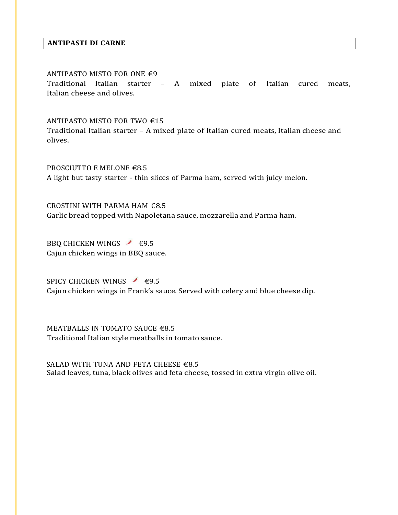# **ANTIPASTI DI CARNE**

#### ANTIPASTO MISTO FOR ONE €9

Traditional Italian starter – A mixed plate of Italian cured meats, Italian cheese and olives.

#### ANTIPASTO MISTO FOR TWO €15

Traditional Italian starter – A mixed plate of Italian cured meats, Italian cheese and olives.

PROSCIUTTO E MELONE €8.5 A light but tasty starter - thin slices of Parma ham, served with juicy melon.

CROSTINI WITH PARMA HAM €8.5 Garlic bread topped with Napoletana sauce, mozzarella and Parma ham.

BBQ CHICKEN WINGS  $\angle$  €9.5 Cajun chicken wings in BBQ sauce.

SPICY CHICKEN WINGS  $\angle$  €9.5 Cajun chicken wings in Frank's sauce. Served with celery and blue cheese dip.

MEATBALLS IN TOMATO SAUCE €8.5 Traditional Italian style meatballs in tomato sauce.

SALAD WITH TUNA AND FETA CHEESE  $€8.5$ Salad leaves, tuna, black olives and feta cheese, tossed in extra virgin olive oil.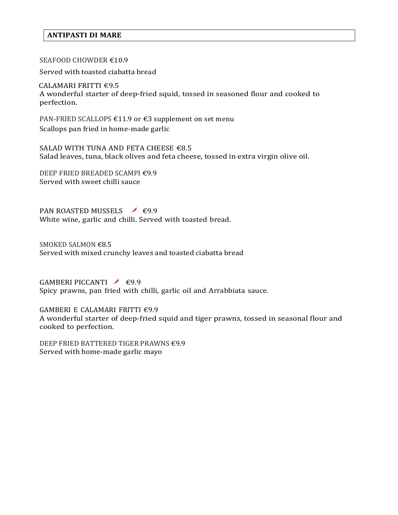# **ANTIPASTI DI MARE**

# SEAFOOD CHOWDER €10.9

Served with toasted ciabatta bread

 CALAMARI FRITTI €9.5 A wonderful starter of deep-fried squid, tossed in seasoned flour and cooked to perfection.

PAN-FRIED SCALLOPS €11.9 or €3 supplement on set menu Scallops pan fried in home-made garlic

SALAD WITH TUNA AND FETA CHEESE €8.5 Salad leaves, tuna, black olives and feta cheese, tossed in extra virgin olive oil.

DEEP FRIED BREADED SCAMPI €9.9 Served with sweet chilli sauce

PAN ROASTED MUSSELS  $\bigvee$  €9.9 White wine, garlic and chilli. Served with toasted bread.

SMOKED SALMON €8.5 Served with mixed crunchy leaves and toasted ciabatta bread

GAMBERI PICCANTI $\leq$  €9.9 Spicy prawns, pan fried with chilli, garlic oil and Arrabbiata sauce.

GAMBERI E CALAMARI FRITTI €9.9 A wonderful starter of deep-fried squid and tiger prawns, tossed in seasonal flour and cooked to perfection.

DEEP FRIED BATTERED TIGER PRAWNS €9.9 Served with home-made garlic mayo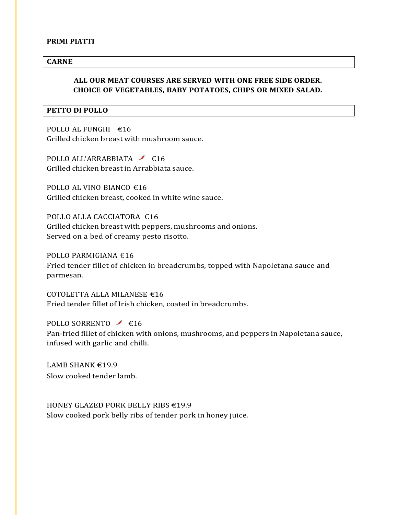#### **PRIMI PIATTI**

# **CARNE**

# **ALL OUR MEAT COURSES ARE SERVED WITH ONE FREE SIDE ORDER. CHOICE OF VEGETABLES, BABY POTATOES, CHIPS OR MIXED SALAD.**

#### **PETTO DI POLLO**

POLLO AL FUNGHI €16 Grilled chicken breast with mushroom sauce.

POLLO ALL'ARRABBIATA  $\leq$  €16 Grilled chicken breast in Arrabbiata sauce.

POLLO AL VINO BIANCO  $€16$ Grilled chicken breast, cooked in white wine sauce.

POLLO ALLA CACCIATORA €16 Grilled chicken breast with peppers, mushrooms and onions. Served on a bed of creamy pesto risotto.

POLLO PARMIGIANA €16 Fried tender fillet of chicken in breadcrumbs, topped with Napoletana sauce and parmesan.

COTOLETTA ALLA MILANESE €16 Fried tender fillet of Irish chicken, coated in breadcrumbs.

POLLO SORRENTO  $\bigcup$  €16 Pan-fried fillet of chicken with onions, mushrooms, and peppers in Napoletana sauce, infused with garlic and chilli.

LAMB SHANK €19.9 Slow cooked tender lamb.

HONEY GLAZED PORK BELLY RIBS €19.9 Slow cooked pork belly ribs of tender pork in honey juice.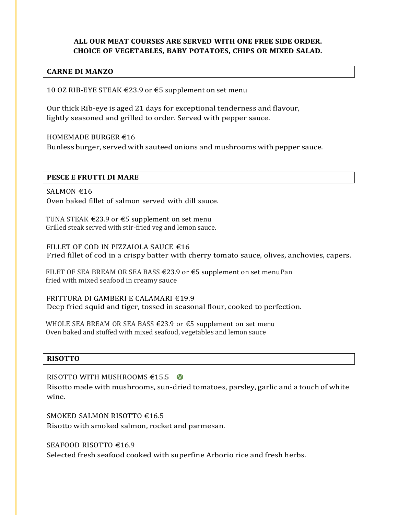# **ALL OUR MEAT COURSES ARE SERVED WITH ONE FREE SIDE ORDER. CHOICE OF VEGETABLES, BABY POTATOES, CHIPS OR MIXED SALAD.**

# **CARNE DI MANZO**

10 OZ RIB-EYE STEAK €23.9 or €5 supplement on set menu

Our thick Rib-eye is aged 21 days for exceptional tenderness and flavour, lightly seasoned and grilled to order. Served with pepper sauce.

HOMEMADE BURGER €16

Bunless burger, served with sauteed onions and mushrooms with pepper sauce.

# **PESCE E FRUTTI DI MARE**

SALMON  $€16$ Oven baked fillet of salmon served with dill sauce.

TUNA STEAK €23.9 or €5 supplement on set menu Grilled steak served with stir-fried veg and lemon sauce.

FILLET OF COD IN PIZZAIOLA SAUCE €16 Fried fillet of cod in a crispy batter with cherry tomato sauce, olives, anchovies, capers.

FILET OF SEA BREAM OR SEA BASS  $\in$  23.9 or  $\in$  5 supplement on set menuPan fried with mixed seafood in creamy sauce

FRITTURA DI GAMBERI E CALAMARI €19.9 Deep fried squid and tiger, tossed in seasonal flour, cooked to perfection.

WHOLE SEA BREAM OR SEA BASS  $\epsilon$ 23.9 or  $\epsilon$ 5 supplement on set menu Oven baked and stuffed with mixed seafood, vegetables and lemon sauce

# **RISOTTO**

RISOTTO WITH MUSHROOMS  $€15.5$ 

Risotto made with mushrooms, sun-dried tomatoes, parsley, garlic and a touch of white wine.

SMOKED SALMON RISOTTO €16.5 Risotto with smoked salmon, rocket and parmesan.

SEAFOOD RISOTTO €16.9

Selected fresh seafood cooked with superfine Arborio rice and fresh herbs.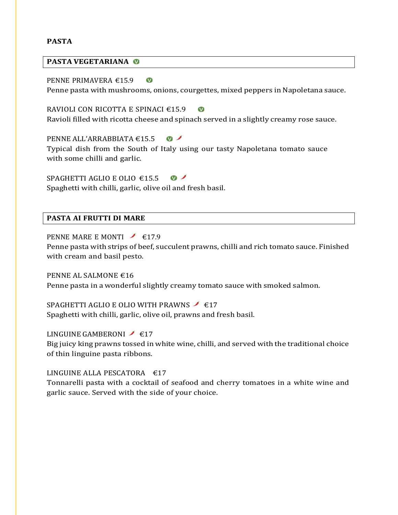# **PASTA**

# **PASTA VEGETARIANA**

PENNE PRIMAVERA €15.9  $\bullet$ Penne pasta with mushrooms, onions, courgettes, mixed peppers in Napoletana sauce.

RAVIOLI CON RICOTTA E SPINACI €15.9  $\bullet$ Ravioli filled with ricotta cheese and spinach served in a slightly creamy rose sauce.

PENNE ALL'ARRABBIATA €15.5  $\sqrt{ }$ 

Typical dish from the South of Italy using our tasty Napoletana tomato sauce with some chilli and garlic.

SPAGHETTI AGLIO E OLIO €15.5  $\sqrt{ }$ Spaghetti with chilli, garlic, olive oil and fresh basil.

# **PASTA AI FRUTTI DI MARE**

PENNE MARE E MONTI  $\bigcup$  €17.9

Penne pasta with strips of beef, succulent prawns, chilli and rich tomato sauce. Finished with cream and basil pesto.

PENNE AL SALMONE €16 Penne pasta in a wonderful slightly creamy tomato sauce with smoked salmon.

SPAGHETTI AGLIO E OLIO WITH PRAWNS  $\bigg/$  €17 Spaghetti with chilli, garlic, olive oil, prawns and fresh basil.

LINGUINE GAMBERONI  $\bigcup$  €17 Big juicy king prawns tossed in white wine, chilli, and served with the traditional choice of thin linguine pasta ribbons.

LINGUINE ALLA PESCATORA  $£17$ 

Tonnarelli pasta with a cocktail of seafood and cherry tomatoes in a white wine and garlic sauce. Served with the side of your choice.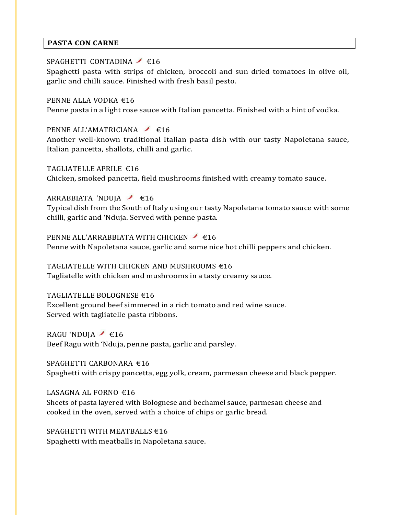# **PASTA CON CARNE**

# SPAGHETTI CONTADINA  $\bigg/$  €16

Spaghetti pasta with strips of chicken, broccoli and sun dried tomatoes in olive oil, garlic and chilli sauce. Finished with fresh basil pesto.

# PENNE ALLA VODKA €16

Penne pasta in a light rose sauce with Italian pancetta. Finished with a hint of vodka.

# PENNE ALL'AMATRICIANA  $\bigcup$  €16

Another well-known traditional Italian pasta dish with our tasty Napoletana sauce, Italian pancetta, shallots, chilli and garlic.

# TAGLIATELLE APRILE €16

Chicken, smoked pancetta, field mushrooms finished with creamy tomato sauce.

# ARRABBIATA 'NDUJA  $\leq 16$

Typical dish from the South of Italy using our tasty Napoletana tomato sauce with some chilli, garlic and 'Nduja. Served with penne pasta.

# PENNE ALL'ARRABBIATA WITH CHICKEN <del>616</del>

Penne with Napoletana sauce, garlic and some nice hot chilli peppers and chicken.

# TAGLIATELLE WITH CHICKEN AND MUSHROOMS €16

Tagliatelle with chicken and mushrooms in a tasty creamy sauce.

# TAGLIATELLE BOLOGNESE €16

Excellent ground beef simmered in a rich tomato and red wine sauce. Served with tagliatelle pasta ribbons.

# RAGU 'NDUJA  $\neq$  £16 Beef Ragu with 'Nduja, penne pasta, garlic and parsley.

SPAGHETTI CARBONARA €16 Spaghetti with crispy pancetta, egg yolk, cream, parmesan cheese and black pepper.

# LASAGNA AL FORNO  $€16$

Sheets of pasta layered with Bolognese and bechamel sauce, parmesan cheese and cooked in the oven, served with a choice of chips or garlic bread.

# SPAGHETTI WITH MEATBALLS  $616$ Spaghetti with meatballs in Napoletana sauce.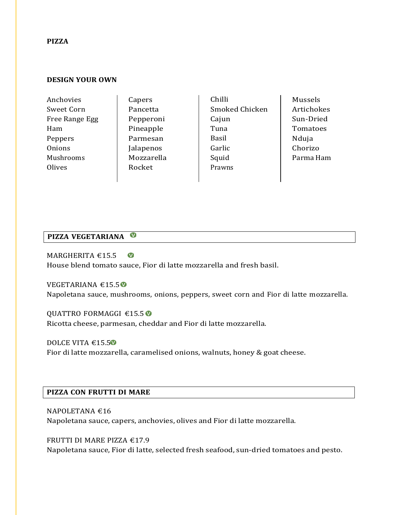#### **PIZZA**

# **DESIGN YOUR OWN**

| Anchovies      | Capers     | Chilli         | Mussels    |
|----------------|------------|----------------|------------|
| Sweet Corn     | Pancetta   | Smoked Chicken | Artichokes |
| Free Range Egg | Pepperoni  | Cajun          | Sun-Dried  |
| Ham            | Pineapple  | Tuna           | Tomatoes   |
| Peppers        | Parmesan   | <b>Basil</b>   | Nduja      |
| Onions         | Jalapenos  | Garlic         | Chorizo    |
| Mushrooms      | Mozzarella | Squid          | Parma Ham  |
| Olives         | Rocket     | Prawns         |            |
|                |            |                |            |

# **PIZZA VEGETARIANA**

 $\bullet$ MARGHERITA €15.5 House blend tomato sauce, Fior di latte mozzarella and fresh basil.

VEGETARIANA €15.5 Napoletana sauce, mushrooms, onions, peppers, sweet corn and Fior di latte mozzarella.

QUATTRO FORMAGGI €15.5 Ricotta cheese, parmesan, cheddar and Fior di latte mozzarella.

DOLCE VITA €15.5<sup>0</sup> Fior di latte mozzarella, caramelised onions, walnuts, honey & goat cheese.

# **PIZZA CON FRUTTI DI MARE**

NAPOLETANA €16 Napoletana sauce, capers, anchovies, olives and Fior di latte mozzarella.

FRUTTI DI MARE PIZZA €17.9 Napoletana sauce, Fior di latte, selected fresh seafood, sun-dried tomatoes and pesto.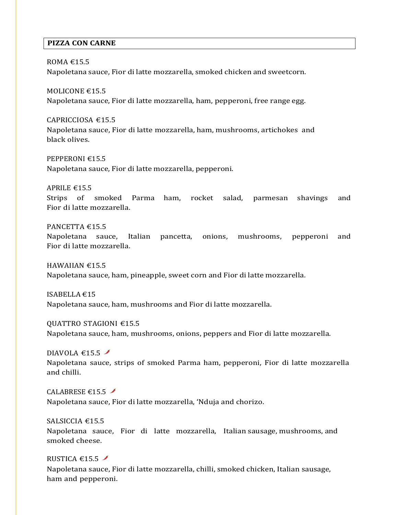# **PIZZA CON CARNE**

# ROMA €15.5

Napoletana sauce, Fior di latte mozzarella, smoked chicken and sweetcorn.

MOLICONE €15.5 Napoletana sauce, Fior di latte mozzarella, ham, pepperoni, free range egg.

CAPRICCIOSA €15.5 Napoletana sauce, Fior di latte mozzarella, ham, mushrooms, artichokes and black olives.

PEPPERONI €15.5 Napoletana sauce, Fior di latte mozzarella, pepperoni.

APRILE €15.5

Strips of smoked Parma ham, rocket salad, parmesan shavings and Fior di latte mozzarella.

# PANCETTA  $€15.5$

Napoletana sauce, Italian pancetta, onions, mushrooms, pepperoni and Fior di latte mozzarella.

HAWAIIAN €15.5 Napoletana sauce, ham, pineapple, sweet corn and Fior di latte mozzarella.

ISABELLA €15 Napoletana sauce, ham, mushrooms and Fior di latte mozzarella.

QUATTRO STAGIONI €15.5 Napoletana sauce, ham, mushrooms, onions, peppers and Fior di latte mozzarella.

DIAVOLA  $€15.5$ Napoletana sauce, strips of smoked Parma ham, pepperoni, Fior di latte mozzarella and chilli.

CALABRESE  $\epsilon$ 15.5 Napoletana sauce, Fior di latte mozzarella, 'Nduja and chorizo.

SALSICCIA €15.5 Napoletana sauce, Fior di latte mozzarella, Italian sausage, mushrooms, and smoked cheese.

RUSTICA  $€15.5$  /

Napoletana sauce, Fior di latte mozzarella, chilli, smoked chicken, Italian sausage, ham and pepperoni.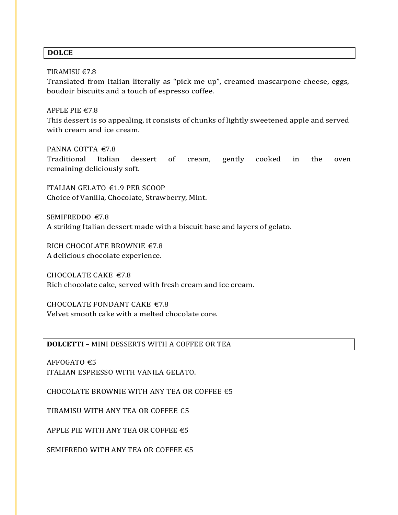# **DOLCE**

# TIRAMISU €7.8

Translated from Italian literally as "pick me up", creamed mascarpone cheese, eggs, boudoir biscuits and a touch of espresso coffee.

# APPLE PIE €7.8

This dessert is so appealing, it consists of chunks of lightly sweetened apple and served with cream and ice cream.

# PANNA COTTA €7.8

Traditional Italian dessert of cream, gently cooked in the oven remaining deliciously soft.

ITALIAN GELATO €1.9 PER SCOOP Choice of Vanilla, Chocolate, Strawberry, Mint.

SEMIFREDDO €7.8 A striking Italian dessert made with a biscuit base and layers of gelato.

RICH CHOCOLATE BROWNIE €7.8 A delicious chocolate experience.

CHOCOLATE CAKE  $€7.8$ Rich chocolate cake, served with fresh cream and ice cream.

CHOCOLATE FONDANT CAKE  $€7.8$ Velvet smooth cake with a melted chocolate core.

# **DOLCETTI** – MINI DESSERTS WITH A COFFEE OR TEA

AFFOGATO €5 ITALIAN ESPRESSO WITH VANILA GELATO.

CHOCOLATE BROWNIE WITH ANY TEA OR COFFEE  $\epsilon$ 5

TIRAMISU WITH ANY TEA OR COFFEE  $\epsilon$ 5

APPLE PIE WITH ANY TEA OR COFFEE  $\epsilon$ 5

SEMIFREDO WITH ANY TEA OR COFFEE  $\epsilon$ 5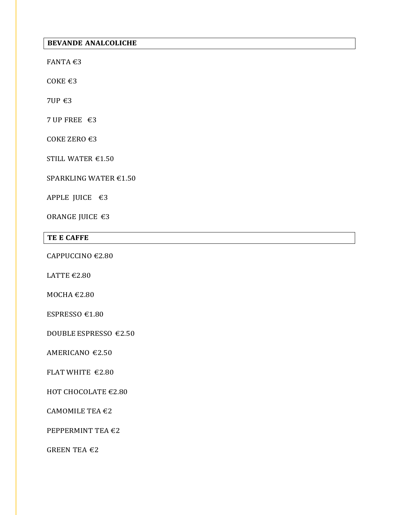# **BEVANDE ANALCOLICHE**

FANTA €3

COKE €3

7UP €3

7 UP FREE €3

COKE ZERO €3

STILL WATER €1.50

SPARKLING WATER €1.50

APPLE JUICE €3

ORANGE JUICE €3

# **TE E CAFFE**

CAPPUCCINO €2.80

LATTE  $€2.80$ 

MOCHA €2.80

ESPRESSO €1.80

DOUBLE ESPRESSO €2.50

AMERICANO €2.50

FLAT WHITE €2.80

HOT CHOCOLATE €2.80

CAMOMILE TEA €2

PEPPERMINT TEA €2

GREEN TEA  $\epsilon$ 2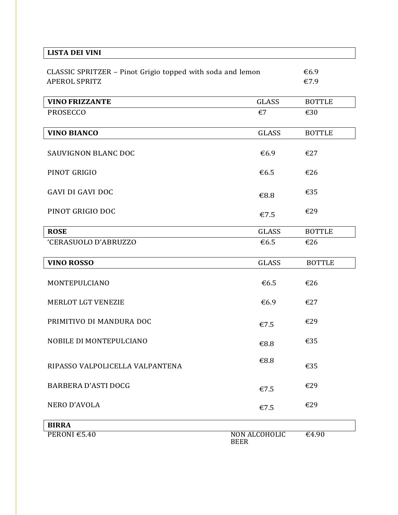| <b>LISTA DEI VINI</b>                                                              |                              |                            |
|------------------------------------------------------------------------------------|------------------------------|----------------------------|
| CLASSIC SPRITZER - Pinot Grigio topped with soda and lemon<br><b>APEROL SPRITZ</b> | €6.9<br>€7.9                 |                            |
| <b>VINO FRIZZANTE</b>                                                              | <b>GLASS</b>                 | <b>BOTTLE</b>              |
| <b>PROSECCO</b>                                                                    | €7                           | €30                        |
| <b>VINO BIANCO</b>                                                                 | <b>GLASS</b>                 | <b>BOTTLE</b>              |
| <b>SAUVIGNON BLANC DOC</b>                                                         | €6.9                         | €27                        |
| PINOT GRIGIO                                                                       | €6.5                         | €26                        |
| <b>GAVI DI GAVI DOC</b>                                                            | €8.8                         | €35                        |
| PINOT GRIGIO DOC                                                                   | €7.5                         | €29                        |
| <b>ROSE</b>                                                                        | <b>GLASS</b>                 | <b>BOTTLE</b>              |
| 'CERASUOLO D'ABRUZZO                                                               | €6.5                         | €26                        |
| <b>VINO ROSSO</b>                                                                  | <b>GLASS</b>                 | <b>BOTTLE</b>              |
| MONTEPULCIANO                                                                      | €6.5                         | €26                        |
| MERLOT LGT VENEZIE                                                                 | €6.9                         | €27                        |
| PRIMITIVO DI MANDURA DOC                                                           | €7.5                         | €29                        |
| NOBILE DI MONTEPULCIANO                                                            | €8.8                         | €35                        |
| RIPASSO VALPOLICELLA VALPANTENA                                                    | €8.8                         | €35                        |
| <b>BARBERA D'ASTI DOCG</b>                                                         | €7.5                         | €29                        |
| NERO D'AVOLA                                                                       | €7.5                         | €29                        |
| <b>BIRRA</b>                                                                       |                              |                            |
| PERONI €5.40                                                                       | NON ALCOHOLIC<br><b>BEER</b> | $\overline{\epsilon}$ 4.90 |